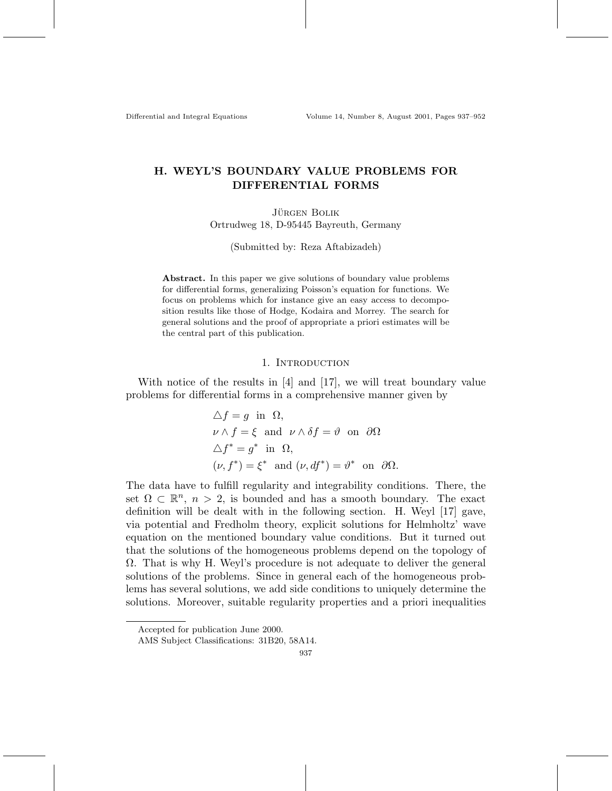Differential and Integral Equations Volume 14, Number 8, August 2001, Pages 937–952

# **H. WEYL'S BOUNDARY VALUE PROBLEMS FOR DIFFERENTIAL FORMS**

**JÜRGEN BOLIK** Ortrudweg 18, D-95445 Bayreuth, Germany

(Submitted by: Reza Aftabizadeh)

**Abstract.** In this paper we give solutions of boundary value problems for differential forms, generalizing Poisson's equation for functions. We focus on problems which for instance give an easy access to decomposition results like those of Hodge, Kodaira and Morrey. The search for general solutions and the proof of appropriate a priori estimates will be the central part of this publication.

### 1. INTRODUCTION

With notice of the results in [4] and [17], we will treat boundary value problems for differential forms in a comprehensive manner given by

$$
\Delta f = g \text{ in } \Omega,
$$
  
\n
$$
\nu \wedge f = \xi \text{ and } \nu \wedge \delta f = \vartheta \text{ on } \partial \Omega
$$
  
\n
$$
\Delta f^* = g^* \text{ in } \Omega,
$$
  
\n
$$
(\nu, f^*) = \xi^* \text{ and } (\nu, df^*) = \vartheta^* \text{ on } \partial \Omega.
$$

The data have to fulfill regularity and integrability conditions. There, the set  $\Omega \subset \mathbb{R}^n$ ,  $n > 2$ , is bounded and has a smooth boundary. The exact definition will be dealt with in the following section. H. Weyl [17] gave, via potential and Fredholm theory, explicit solutions for Helmholtz' wave equation on the mentioned boundary value conditions. But it turned out that the solutions of the homogeneous problems depend on the topology of Ω. That is why H. Weyl's procedure is not adequate to deliver the general solutions of the problems. Since in general each of the homogeneous problems has several solutions, we add side conditions to uniquely determine the solutions. Moreover, suitable regularity properties and a priori inequalities

Accepted for publication June 2000.

AMS Subject Classifications: 31B20, 58A14.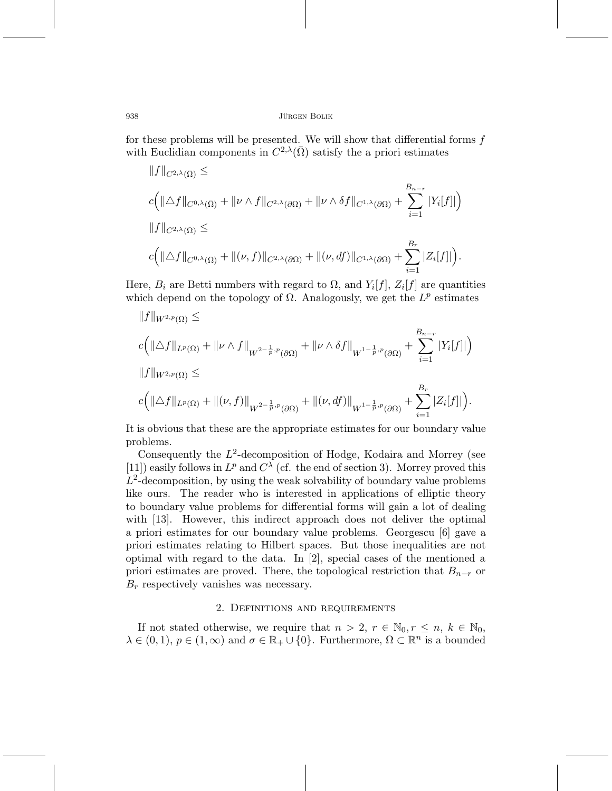for these problems will be presented. We will show that differential forms  $f$ with Euclidian components in  $C^{2,\lambda}(\bar{\Omega})$  satisfy the a priori estimates

$$
||f||_{C^{2,\lambda}(\bar{\Omega})} \le
$$
  
\n
$$
c(|\Delta f||_{C^{0,\lambda}(\bar{\Omega})} + ||\nu \wedge f||_{C^{2,\lambda}(\partial \Omega)} + ||\nu \wedge \delta f||_{C^{1,\lambda}(\partial \Omega)} + \sum_{i=1}^{B_{n-r}} |Y_i[f]|)
$$
  
\n
$$
||f||_{C^{2,\lambda}(\bar{\Omega})} \le
$$
  
\n
$$
c(|\Delta f||_{C^{0,\lambda}(\bar{\Omega})} + ||(\nu, f)||_{C^{2,\lambda}(\partial \Omega)} + ||(\nu, df)||_{C^{1,\lambda}(\partial \Omega)} + \sum_{i=1}^{B_r} |Z_i[f]|).
$$

Here,  $B_i$  are Betti numbers with regard to  $\Omega$ , and  $Y_i[f], Z_i[f]$  are quantities which depend on the topology of  $\Omega$ . Analogously, we get the  $L^p$  estimates

$$
\begin{aligned}\n\|f\|_{W^{2,p}(\Omega)} &\leq \\
c\left(\|\triangle f\|_{L^p(\Omega)} + \|\nu \wedge f\|_{W^{2-\frac{1}{p},p}(\partial\Omega)} + \|\nu \wedge \delta f\|_{W^{1-\frac{1}{p},p}(\partial\Omega)} + \sum_{i=1}^{B_{n-r}} |Y_i[f]| \right) \\
\|f\|_{W^{2,p}(\Omega)} &\leq \\
c\left(\|\triangle f\|_{L^p(\Omega)} + \|(\nu,f)\|_{W^{2-\frac{1}{p},p}(\partial\Omega)} + \|(\nu,df)\|_{W^{1-\frac{1}{p},p}(\partial\Omega)} + \sum_{i=1}^{B_r} |Z_i[f]| \right).\n\end{aligned}
$$

It is obvious that these are the appropriate estimates for our boundary value problems.

Consequently the  $L^2$ -decomposition of Hodge, Kodaira and Morrey (see [11]) easily follows in  $L^p$  and  $C^{\lambda}$  (cf. the end of section 3). Morrey proved this  $L^2$ -decomposition, by using the weak solvability of boundary value problems like ours. The reader who is interested in applications of elliptic theory to boundary value problems for differential forms will gain a lot of dealing with [13]. However, this indirect approach does not deliver the optimal a priori estimates for our boundary value problems. Georgescu [6] gave a priori estimates relating to Hilbert spaces. But those inequalities are not optimal with regard to the data. In [2], special cases of the mentioned a priori estimates are proved. There, the topological restriction that  $B_{n-r}$  or  $B_r$  respectively vanishes was necessary.

## 2. Definitions and requirements

If not stated otherwise, we require that  $n > 2$ ,  $r \in \mathbb{N}_0$ ,  $r \leq n, k \in \mathbb{N}_0$ ,  $\lambda \in (0,1), p \in (1,\infty)$  and  $\sigma \in \mathbb{R}_+ \cup \{0\}$ . Furthermore,  $\Omega \subset \mathbb{R}^n$  is a bounded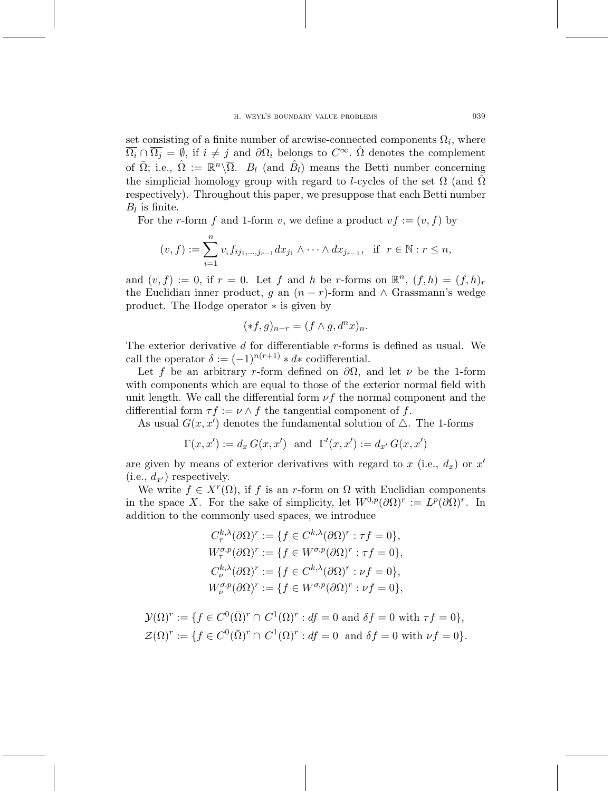set consisting of a finite number of arcwise-connected components  $\Omega_i$ , where  $\overline{\Omega_i} \cap \overline{\Omega_j} = \emptyset$ , if  $i \neq j$  and  $\partial \Omega_i$  belongs to  $C^{\infty}$ .  $\hat{\Omega}$  denotes the complement of  $\overline{\Omega}$ ; i.e.,  $\hat{\Omega} := \mathbb{R}^n \backslash \overline{\Omega}$ .  $B_l$  (and  $\hat{B}_l$ ) means the Betti number concerning the simplicial homology group with regard to *l*-cycles of the set  $\Omega$  (and  $\tilde{\Omega}$ respectively). Throughout this paper, we presuppose that each Betti number  $B_l$  is finite.

For the r-form f and 1-form v, we define a product  $vf := (v, f)$  by

$$
(v, f) := \sum_{i=1}^{n} v_i f_{ij_1,...,j_{r-1}} dx_{j_1} \wedge \cdots \wedge dx_{j_{r-1}}, \text{ if } r \in \mathbb{N} : r \leq n,
$$

and  $(v, f) := 0$ , if  $r = 0$ . Let f and h be r-forms on  $\mathbb{R}^n$ ,  $(f, h) = (f, h)_r$ the Euclidian inner product, g an  $(n - r)$ -form and ∧ Grassmann's wedge product. The Hodge operator *∗* is given by

$$
(*f,g)_{n-r}=(f\wedge g, d^nx)_n.
$$

The exterior derivative  $d$  for differentiable  $r$ -forms is defined as usual. We call the operator  $\delta := (-1)^{n(r+1)} * d *$  codifferential.

Let f be an arbitrary r-form defined on  $\partial\Omega$ , and let  $\nu$  be the 1-form with components which are equal to those of the exterior normal field with unit length. We call the differential form  $\nu f$  the normal component and the differential form  $\tau f := \nu \wedge f$  the tangential component of f.

As usual  $G(x, x')$  denotes the fundamental solution of  $\Delta$ . The 1-forms

$$
\Gamma(x, x') := d_x G(x, x')
$$
 and  $\Gamma'(x, x') := d_{x'} G(x, x')$ 

are given by means of exterior derivatives with regard to  $x$  (i.e.,  $d_x$ ) or  $x'$  $(i.e., d_{x'})$  respectively.

We write  $f \in X^r(\Omega)$ , if f is an r-form on  $\Omega$  with Euclidian components in the space X. For the sake of simplicity, let  $W^{0,p}(\partial\Omega)^r := L^p(\partial\Omega)^r$ . In addition to the commonly used spaces, we introduce

$$
C_{\tau}^{k,\lambda}(\partial \Omega)^{r} := \{ f \in C^{k,\lambda}(\partial \Omega)^{r} : \tau f = 0 \},
$$
  
\n
$$
W_{\tau}^{\sigma,p}(\partial \Omega)^{r} := \{ f \in W^{\sigma,p}(\partial \Omega)^{r} : \tau f = 0 \},
$$
  
\n
$$
C_{\nu}^{k,\lambda}(\partial \Omega)^{r} := \{ f \in C^{k,\lambda}(\partial \Omega)^{r} : \nu f = 0 \},
$$
  
\n
$$
W_{\nu}^{\sigma,p}(\partial \Omega)^{r} := \{ f \in W^{\sigma,p}(\partial \Omega)^{r} : \nu f = 0 \},
$$

$$
\mathcal{Y}(\Omega)^r := \{ f \in C^0(\overline{\Omega})^r \cap C^1(\Omega)^r : df = 0 \text{ and } \delta f = 0 \text{ with } \tau f = 0 \},
$$
  

$$
\mathcal{Z}(\Omega)^r := \{ f \in C^0(\overline{\Omega})^r \cap C^1(\Omega)^r : df = 0 \text{ and } \delta f = 0 \text{ with } \nu f = 0 \}.
$$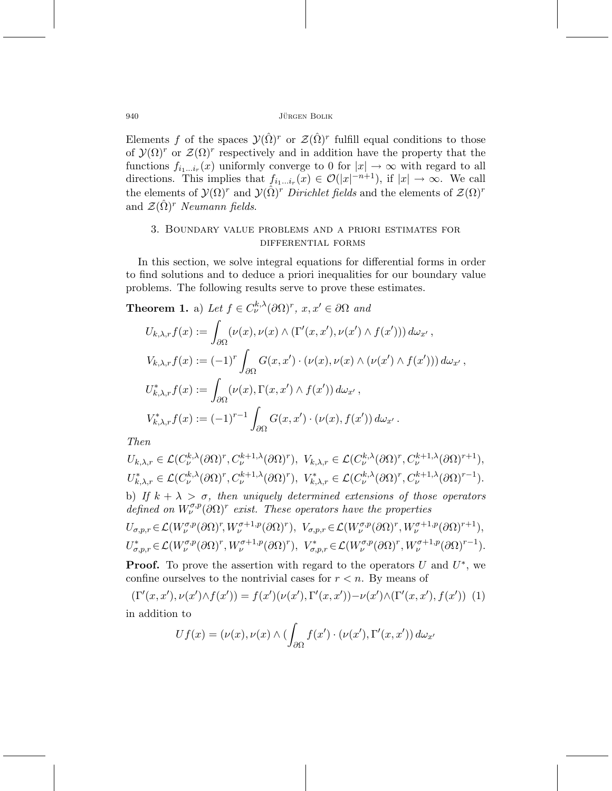Elements f of the spaces  $\mathcal{Y}(\hat{\Omega})^r$  or  $\mathcal{Z}(\hat{\Omega})^r$  fulfill equal conditions to those of  $\mathcal{Y}(\Omega)^r$  or  $\mathcal{Z}(\Omega)^r$  respectively and in addition have the property that the functions  $f_{i_1...i_r}(x)$  uniformly converge to 0 for  $|x| \to \infty$  with regard to all directions. This implies that  $f_{i_1...i_r}(x) \in \mathcal{O}(|x|^{-n+1})$ , if  $|x| \to \infty$ . We call the elements of  $\mathcal{Y}(\Omega)^r$  and  $\mathcal{Y}(\hat{\Omega})^r$  Dirichlet fields and the elements of  $\mathcal{Z}(\Omega)^r$ and  $\mathcal{Z}(\Omega)^r$  Neumann fields.

## 3. Boundary value problems and a priori estimates for differential forms

In this section, we solve integral equations for differential forms in order to find solutions and to deduce a priori inequalities for our boundary value problems. The following results serve to prove these estimates.

**Theorem 1.** a) Let  $f \in C_{\nu}^{k,\lambda}(\partial \Omega)^r$ ,  $x, x' \in \partial \Omega$  and

$$
U_{k,\lambda,r}f(x) := \int_{\partial\Omega} (\nu(x), \nu(x) \wedge (\Gamma'(x, x'), \nu(x') \wedge f(x'))) d\omega_{x'},
$$
  
\n
$$
V_{k,\lambda,r}f(x) := (-1)^r \int_{\partial\Omega} G(x, x') \cdot (\nu(x), \nu(x) \wedge (\nu(x') \wedge f(x'))) d\omega_{x'},
$$
  
\n
$$
U_{k,\lambda,r}^* f(x) := \int_{\partial\Omega} (\nu(x), \Gamma(x, x') \wedge f(x')) d\omega_{x'},
$$
  
\n
$$
V_{k,\lambda,r}^* f(x) := (-1)^{r-1} \int_{\partial\Omega} G(x, x') \cdot (\nu(x), f(x')) d\omega_{x'}.
$$

Then

$$
U_{k,\lambda,r} \in \mathcal{L}(C_{\nu}^{k,\lambda}(\partial \Omega)^{r}, C_{\nu}^{k+1,\lambda}(\partial \Omega)^{r}), \quad V_{k,\lambda,r} \in \mathcal{L}(C_{\nu}^{k,\lambda}(\partial \Omega)^{r}, C_{\nu}^{k+1,\lambda}(\partial \Omega)^{r+1}),
$$
  
\n
$$
U_{k,\lambda,r}^{*} \in \mathcal{L}(C_{\nu}^{k,\lambda}(\partial \Omega)^{r}, C_{\nu}^{k+1,\lambda}(\partial \Omega)^{r}), \quad V_{k,\lambda,r}^{*} \in \mathcal{L}(C_{\nu}^{k,\lambda}(\partial \Omega)^{r}, C_{\nu}^{k+1,\lambda}(\partial \Omega)^{r-1}).
$$
  
\nb) If  $k + \lambda > \sigma$ , then uniquely determined extensions of those operators defined on  $W_{\nu}^{\sigma,p}(\partial \Omega)^{r}$  exist. These operators have the properties  
\n
$$
U_{\sigma,p,r} \in \mathcal{L}(W_{\nu}^{\sigma,p}(\partial \Omega)^{r}, W_{\nu}^{\sigma+1,p}(\partial \Omega)^{r}), \quad V_{\sigma,p,r} \in \mathcal{L}(W_{\nu}^{\sigma,p}(\partial \Omega)^{r}, W_{\nu}^{\sigma+1,p}(\partial \Omega)^{r+1}),
$$
  
\n
$$
U_{\sigma,p,r}^{*} \in \mathcal{L}(W_{\nu}^{\sigma,p}(\partial \Omega)^{r}, W_{\nu}^{\sigma+1,p}(\partial \Omega)^{r}), \quad V_{\sigma,p,r}^{*} \in \mathcal{L}(W_{\nu}^{\sigma,p}(\partial \Omega)^{r}, W_{\nu}^{\sigma+1,p}(\partial \Omega)^{r-1}).
$$

**Proof.** To prove the assertion with regard to the operators  $U$  and  $U^*$ , we confine ourselves to the nontrivial cases for  $r < n$ . By means of

$$
(\Gamma'(x, x'), \nu(x') \wedge f(x')) = f(x')(\nu(x'), \Gamma'(x, x')) - \nu(x') \wedge (\Gamma'(x, x'), f(x')) \tag{1}
$$
  
in addition to

$$
Uf(x) = (\nu(x), \nu(x) \wedge (\int_{\partial \Omega} f(x') \cdot (\nu(x'), \Gamma'(x, x')) d\omega_{x'}
$$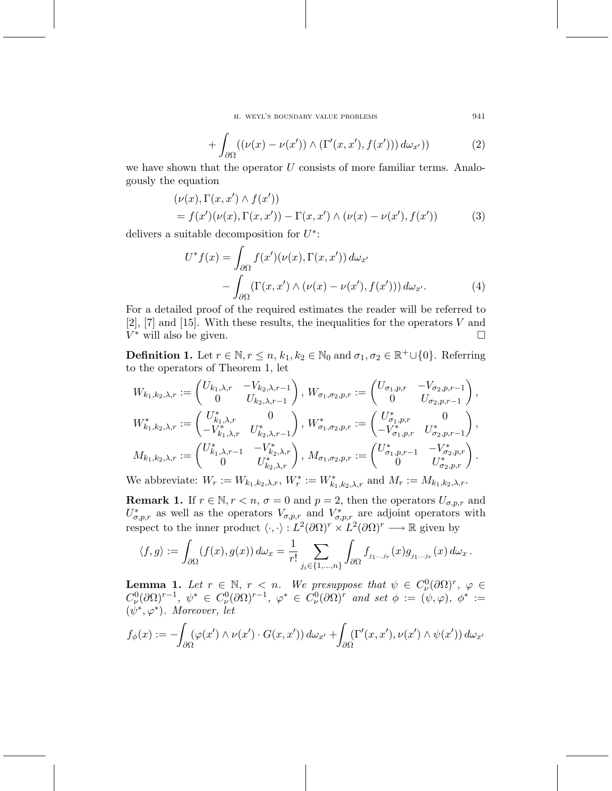h. weyl's boundary value problems 941

$$
+\int_{\partial\Omega} ((\nu(x)-\nu(x'))\wedge(\Gamma'(x,x'),f(x')))\,d\omega_{x'}))\tag{2}
$$

we have shown that the operator  $U$  consists of more familiar terms. Analogously the equation

$$
(\nu(x), \Gamma(x, x') \wedge f(x'))= f(x')(\nu(x), \Gamma(x, x')) - \Gamma(x, x') \wedge (\nu(x) - \nu(x'), f(x'))
$$
(3)

delivers a suitable decomposition for U*∗*:

$$
U^* f(x) = \int_{\partial \Omega} f(x') (\nu(x), \Gamma(x, x')) d\omega_{x'}
$$
  
 
$$
- \int_{\partial \Omega} (\Gamma(x, x') \wedge (\nu(x) - \nu(x'), f(x'))) d\omega_{x'}.
$$
 (4)

For a detailed proof of the required estimates the reader will be referred to  $[2]$ ,  $[7]$  and  $[15]$ . With these results, the inequalities for the operators V and  $V^*$  will also be given.  $\Box$ 

**Definition 1.** Let  $r \in \mathbb{N}, r \leq n, k_1, k_2 \in \mathbb{N}_0$  and  $\sigma_1, \sigma_2 \in \mathbb{R}^+ \cup \{0\}$ . Referring to the operators of Theorem 1, let

$$
W_{k_1,k_2,\lambda,r} := \begin{pmatrix} U_{k_1,\lambda,r} & -V_{k_2,\lambda,r-1} \\ 0 & U_{k_2,\lambda,r-1} \end{pmatrix}, W_{\sigma_1,\sigma_2,p,r} := \begin{pmatrix} U_{\sigma_1,p,r} & -V_{\sigma_2,p,r-1} \\ 0 & U_{\sigma_2,p,r-1} \end{pmatrix},
$$
  
\n
$$
W_{k_1,k_2,\lambda,r}^* := \begin{pmatrix} U_{k_1,\lambda,r}^* & 0 \\ -V_{k_1,\lambda,r}^* & U_{k_2,\lambda,r-1}^* \end{pmatrix}, W_{\sigma_1,\sigma_2,p,r}^* := \begin{pmatrix} U_{\sigma_1,p,r}^* & 0 \\ -V_{\sigma_1,p,r}^* & U_{\sigma_2,p,r-1}^* \end{pmatrix},
$$
  
\n
$$
M_{k_1,k_2,\lambda,r} := \begin{pmatrix} U_{k_1,\lambda,r-1}^* & -V_{k_2,\lambda,r}^* \\ 0 & U_{k_2,\lambda,r}^* \end{pmatrix}, M_{\sigma_1,\sigma_2,p,r} := \begin{pmatrix} U_{\sigma_1,p,r-1}^* & -V_{\sigma_2,p,r}^* \\ 0 & U_{\sigma_2,p,r}^* \end{pmatrix}.
$$

We abbreviate:  $W_r := W_{k_1, k_2, \lambda, r}$ ,  $W_r^* := W_{k_1, k_2, \lambda, r}^*$  and  $M_r := M_{k_1, k_2, \lambda, r}$ .

**Remark 1.** If  $r \in \mathbb{N}, r < n, \sigma = 0$  and  $p = 2$ , then the operators  $U_{\sigma,p,r}$  and  $U^*_{\sigma,p,r}$  as well as the operators  $V_{\sigma,p,r}$  and  $V^*_{\sigma,p,r}$  are adjoint operators with respect to the inner product  $\langle \cdot, \cdot \rangle : L^2(\partial \Omega)^r \times L^2(\partial \Omega)^r \longrightarrow \mathbb{R}$  given by

$$
\langle f, g \rangle := \int_{\partial \Omega} (f(x), g(x)) \, d\omega_x = \frac{1}{r!} \sum_{j_i \in \{1, \dots, n\}} \int_{\partial \Omega} f_{j_1 \dots j_r}(x) g_{j_1 \dots j_r}(x) \, d\omega_x \, .
$$

**Lemma 1.** Let  $r \in \mathbb{N}$ ,  $r < n$ . We presuppose that  $\psi \in C^0_{\nu}(\partial \Omega)^r$ ,  $\varphi \in C^1_{\nu}(\partial \Omega)^r$  $C^0_{\nu}(\partial\Omega)^{r-1}, \psi^* \in C^0_{\nu}(\partial\Omega)^{r-1}, \varphi^* \in C^0_{\nu}(\partial\Omega)^r$  and set  $\phi := (\psi, \varphi), \psi^* :=$  $(\psi^*, \varphi^*)$ . Moreover, let

$$
f_{\phi}(x) := -\int_{\partial\Omega} (\varphi(x') \wedge \nu(x') \cdot G(x, x')) d\omega_{x'} + \int_{\partial\Omega} (\Gamma'(x, x'), \nu(x') \wedge \psi(x')) d\omega_{x'}
$$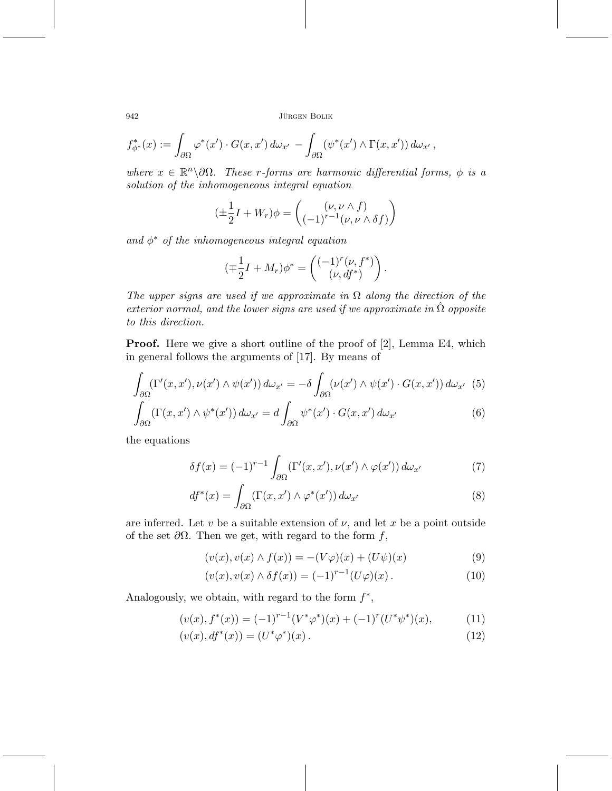$$
f_{\phi^*}^*(x) := \int_{\partial\Omega} \varphi^*(x') \cdot G(x, x') \, d\omega_{x'} - \int_{\partial\Omega} (\psi^*(x') \wedge \Gamma(x, x')) \, d\omega_{x'} \, ,
$$

where  $x \in \mathbb{R}^n \setminus \partial \Omega$ . These r-forms are harmonic differential forms,  $\phi$  is a solution of the inhomogeneous integral equation

$$
(\pm \frac{1}{2}I + W_r)\phi = \begin{pmatrix} (\nu, \nu \wedge f) \\ (-1)^{r-1}(\nu, \nu \wedge \delta f) \end{pmatrix}
$$

and  $\phi^*$  of the inhomogeneous integral equation

$$
(\mp \frac{1}{2}I + M_r)\phi^* = \begin{pmatrix} (-1)^r(\nu, f^*) \\ (\nu, df^*) \end{pmatrix}.
$$

The upper signs are used if we approximate in  $\Omega$  along the direction of the exterior normal, and the lower signs are used if we approximate in  $\hat{\Omega}$  opposite to this direction.

**Proof.** Here we give a short outline of the proof of [2], Lemma E4, which in general follows the arguments of [17]. By means of

$$
\int_{\partial\Omega} (\Gamma'(x, x'), \nu(x') \wedge \psi(x')) d\omega_{x'} = -\delta \int_{\partial\Omega} (\nu(x') \wedge \psi(x') \cdot G(x, x')) d\omega_{x'} \tag{5}
$$

$$
\int_{\partial\Omega} (\Gamma(x, x') \wedge \psi^*(x')) \, d\omega_{x'} = d \int_{\partial\Omega} \psi^*(x') \cdot G(x, x') \, d\omega_{x'}
$$
\n<sup>(6)</sup>

the equations

$$
\delta f(x) = (-1)^{r-1} \int_{\partial \Omega} (\Gamma'(x, x'), \nu(x') \wedge \varphi(x')) d\omega_{x'}
$$
 (7)

$$
df^*(x) = \int_{\partial\Omega} (\Gamma(x, x') \wedge \varphi^*(x')) \, d\omega_{x'}
$$
\n(8)

are inferred. Let v be a suitable extension of  $\nu$ , and let x be a point outside of the set  $\partial\Omega$ . Then we get, with regard to the form f,

$$
(v(x), v(x) \wedge f(x)) = -(V\varphi)(x) + (U\psi)(x)
$$
\n(9)

$$
(v(x), v(x) \wedge \delta f(x)) = (-1)^{r-1} (U\varphi)(x).
$$
 (10)

Analogously, we obtain, with regard to the form  $f^*$ ,

$$
(v(x), f^*(x)) = (-1)^{r-1} (V^*\varphi^*)(x) + (-1)^r (U^*\psi^*)(x), \tag{11}
$$

$$
(v(x), df^*(x)) = (U^*\varphi^*)(x). \tag{12}
$$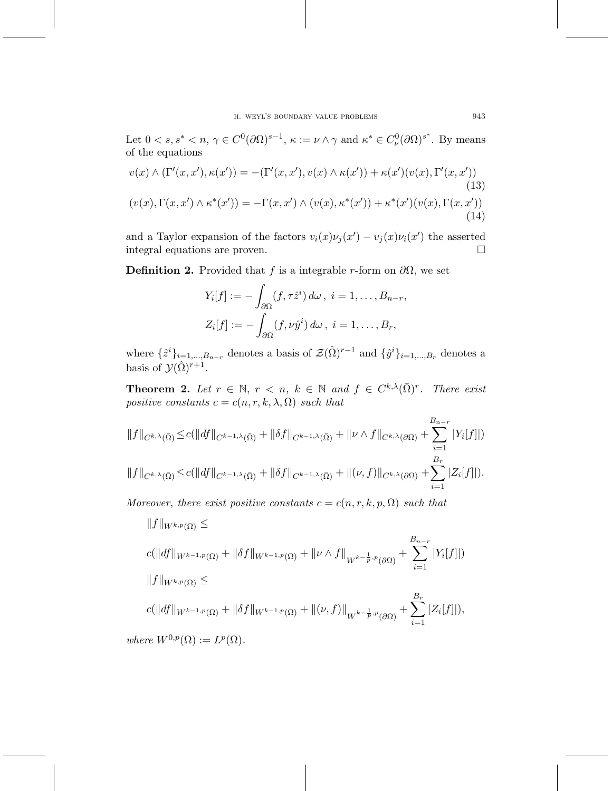Let  $0 < s, s^* < n, \gamma \in C^0(\partial\Omega)^{s-1}, \kappa := \nu \wedge \gamma$  and  $\kappa^* \in C^0_{\nu}(\partial\Omega)^{s^*}.$  By means of the equations

$$
v(x) \wedge (\Gamma'(x, x'), \kappa(x')) = -(\Gamma'(x, x'), v(x) \wedge \kappa(x')) + \kappa(x')(v(x), \Gamma'(x, x'))
$$
\n(13)  
\n
$$
(v(x), \Gamma(x, x') \wedge \kappa^*(x')) = -\Gamma(x, x') \wedge (v(x), \kappa^*(x')) + \kappa^*(x')(v(x), \Gamma(x, x'))
$$
\n(14)

and a Taylor expansion of the factors  $v_i(x)\nu_j(x') - v_j(x)\nu_i(x')$  the asserted integral equations are proven.  $\Box$ 

**Definition 2.** Provided that f is a integrable r-form on  $\partial\Omega$ , we set

$$
Y_i[f] := -\int_{\partial\Omega} (f, \tau \hat{z}^i) d\omega, \ i = 1, \dots, B_{n-r},
$$
  

$$
Z_i[f] := -\int_{\partial\Omega} (f, \nu \hat{y}^i) d\omega, \ i = 1, \dots, B_r,
$$

where  $\{\hat{z}^i\}_{i=1,\dots,B_{n-r}}$  denotes a basis of  $\mathcal{Z}(\hat{\Omega})^{r-1}$  and  $\{\hat{y}^i\}_{i=1,\dots,B_r}$  denotes a basis of  $\mathcal{Y}(\hat{\Omega})^{r+1}$ .

**Theorem 2.** Let  $r \in \mathbb{N}$ ,  $r < n$ ,  $k \in \mathbb{N}$  and  $f \in C^{k,\lambda}(\overline{\Omega})^r$ . There exist positive constants  $c = c(n, r, k, \lambda, \Omega)$  such that

$$
||f||_{C^{k,\lambda}(\bar{\Omega})} \leq c(||df||_{C^{k-1,\lambda}(\bar{\Omega})} + ||\delta f||_{C^{k-1,\lambda}(\bar{\Omega})} + ||\nu \wedge f||_{C^{k,\lambda}(\partial \Omega)} + \sum_{i=1}^{B_{n-r}} |Y_i[f]|)
$$
  

$$
||f||_{C^{k,\lambda}(\bar{\Omega})} \leq c(||df||_{C^{k-1,\lambda}(\bar{\Omega})} + ||\delta f||_{C^{k-1,\lambda}(\bar{\Omega})} + ||(\nu, f)||_{C^{k,\lambda}(\partial \Omega)} + \sum_{i=1}^{B_r} |Z_i[f]|).
$$

Moreover, there exist positive constants  $c = c(n, r, k, p, \Omega)$  such that

$$
||f||_{W^{k,p}(\Omega)} \le
$$
  
\n
$$
c(||df||_{W^{k-1,p}(\Omega)} + ||\delta f||_{W^{k-1,p}(\Omega)} + ||\nu \wedge f||_{W^{k-\frac{1}{p},p}(\partial\Omega)} + \sum_{i=1}^{B_{n-r}} |Y_i[f]|)
$$
  
\n
$$
||f||_{W^{k,p}(\Omega)} \le
$$
  
\n
$$
c(||df||_{W^{k-1,p}(\Omega)} + ||\delta f||_{W^{k-1,p}(\Omega)} + ||(\nu, f)||_{W^{k-\frac{1}{p},p}(\partial\Omega)} + \sum_{i=1}^{B_r} |Z_i[f]|),
$$
  
\nwhere  $W^{0,p}(\Omega) := L^p(\Omega)$ .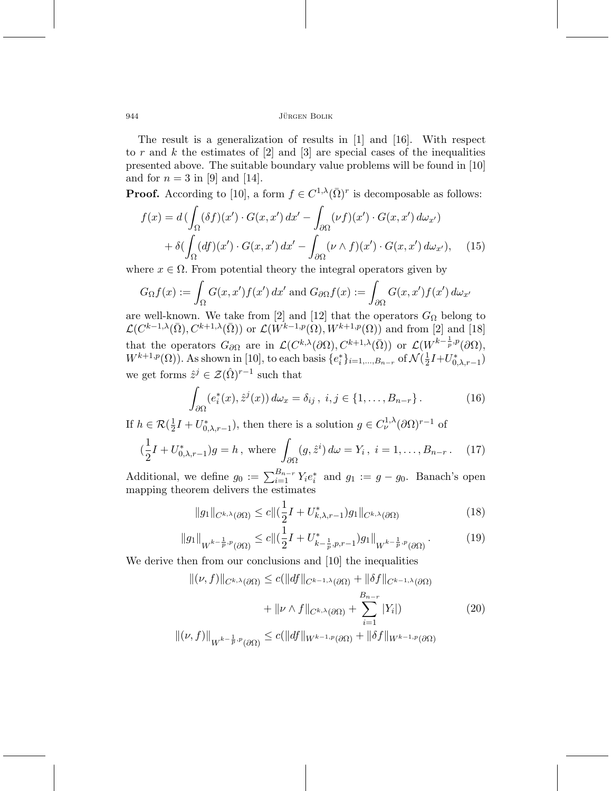The result is a generalization of results in [1] and [16]. With respect to r and k the estimates of  $[2]$  and  $[3]$  are special cases of the inequalities presented above. The suitable boundary value problems will be found in [10] and for  $n = 3$  in [9] and [14].

**Proof.** According to [10], a form  $f \in C^{1,\lambda}(\overline{\Omega})^r$  is decomposable as follows:

$$
f(x) = d\left(\int_{\Omega} (\delta f)(x') \cdot G(x, x') dx' - \int_{\partial \Omega} (\nu f)(x') \cdot G(x, x') d\omega_{x'}\right)
$$

$$
+ \delta\left(\int_{\Omega} (df)(x') \cdot G(x, x') dx' - \int_{\partial \Omega} (\nu \wedge f)(x') \cdot G(x, x') d\omega_{x'}\right), \quad (15)
$$

where  $x \in \Omega$ . From potential theory the integral operators given by

$$
G_{\Omega}f(x) := \int_{\Omega} G(x, x') f(x') dx' \text{ and } G_{\partial\Omega}f(x) := \int_{\partial\Omega} G(x, x') f(x') d\omega_{x'}
$$

are well-known. We take from [2] and [12] that the operators  $G_{\Omega}$  belong to  $\mathcal{L}(C^{k-1,\lambda}(\bar{\Omega}), C^{k+1,\lambda}(\bar{\Omega}))$  or  $\mathcal{L}(W^{k-1,p}(\Omega), W^{k+1,p}(\Omega))$  and from [2] and [18] that the operators  $G_{\partial\Omega}$  are in  $\mathcal{L}(C^{k,\lambda}(\partial\Omega), C^{k+1,\lambda}(\overline{\Omega}))$  or  $\mathcal{L}(W^{k-\frac{1}{p},p}(\partial\Omega),$  $W^{k+1,p}(\Omega)$ ). As shown in [10], to each basis  $\{e_i^*\}_{i=1,\dots,B_{n-r}}$  of  $\mathcal{N}(\frac{1}{2}I+U^*_{0,\lambda,r-1})$ we get forms  $\hat{z}^j \in \mathcal{Z}(\hat{\Omega})^{r-1}$  such that

$$
\int_{\partial\Omega} (e_i^*(x), \hat{z}^j(x)) d\omega_x = \delta_{ij}, \ i, j \in \{1, \dots, B_{n-r}\}.
$$
 (16)

If  $h \in \mathcal{R}(\frac{1}{2}I + U^*_{0,\lambda,r-1})$ , then there is a solution  $g \in C^{1,\lambda}_\nu(\partial \Omega)^{r-1}$  of

$$
(\frac{1}{2}I + U_{0,\lambda,r-1}^*)g = h, \text{ where } \int_{\partial\Omega} (g, \hat{z}^i) d\omega = Y_i, \ i = 1, \dots, B_{n-r}. \tag{17}
$$

Additional, we define  $g_0 := \sum_{i=1}^{B_{n-r}} Y_i e_i^*$  and  $g_1 := g - g_0$ . Banach's open mapping theorem delivers the estimates

$$
||g_1||_{C^{k,\lambda}(\partial\Omega)} \le c||(\frac{1}{2}I + U^*_{k,\lambda,r-1})g_1||_{C^{k,\lambda}(\partial\Omega)}
$$
\n(18)

$$
||g_1||_{W^{k-\frac{1}{p},p}(\partial\Omega)} \le c ||(\frac{1}{2}I + U^*_{k-\frac{1}{p},p,r-1})g_1||_{W^{k-\frac{1}{p},p}(\partial\Omega)}.
$$
 (19)

We derive then from our conclusions and [10] the inequalities

$$
\|(\nu, f)\|_{C^{k,\lambda}(\partial\Omega)} \le c(\|df\|_{C^{k-1,\lambda}(\partial\Omega)} + \|\delta f\|_{C^{k-1,\lambda}(\partial\Omega)}
$$
  

$$
+ \|\nu \wedge f\|_{C^{k,\lambda}(\partial\Omega)} + \sum_{i=1}^{B_{n-r}} |Y_i|)
$$
  

$$
\|( \nu, f)\|_{W^{k-\frac{1}{p},p}(\partial\Omega)} \le c(\|df\|_{W^{k-1,p}(\partial\Omega)} + \|\delta f\|_{W^{k-1,p}(\partial\Omega)}
$$
 (20)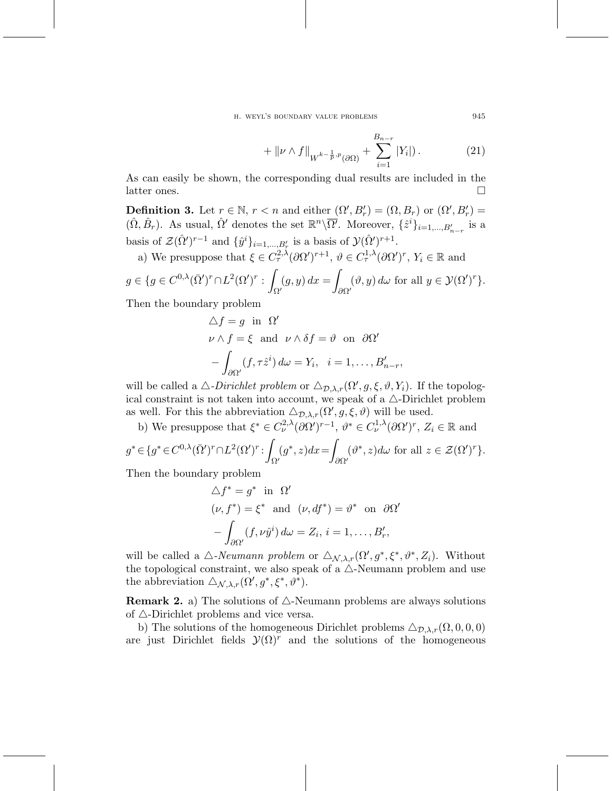h. weyl's boundary value problems 945

$$
+ \| \nu \wedge f \|_{W^{k-\frac{1}{p},p}(\partial \Omega)} + \sum_{i=1}^{B_{n-r}} |Y_i|) . \tag{21}
$$

As can easily be shown, the corresponding dual results are included in the latter ones.  $\Box$ 

**Definition 3.** Let  $r \in \mathbb{N}$ ,  $r < n$  and either  $(\Omega', B'_r) = (\Omega, B_r)$  or  $(\Omega', B'_r) =$  $(\hat{\Omega}, \hat{B}_r)$ . As usual,  $\hat{\Omega}'$  denotes the set  $\mathbb{R}^n \backslash \overline{\Omega'}$ . Moreover,  $\{\hat{z}^i\}_{i=1,\dots,B_{n-r}'}$  is a basis of  $\mathcal{Z}(\hat{\Omega}')^{r-1}$  and  $\{\hat{y}^i\}_{i=1,\dots,B_r'}$  is a basis of  $\mathcal{Y}(\hat{\Omega}')^{r+1}$ .

a) We presuppose that  $\xi \in C^{2,\lambda}_\tau(\partial \Omega')^{r+1}, \ \vartheta \in C^{1,\lambda}_\tau(\partial \Omega')^r, \ Y_i \in \mathbb{R}$  and

$$
g \in \{ g \in C^{0,\lambda}(\bar{\Omega}')^r \cap L^2(\Omega')^r : \int_{\Omega'} (g, y) dx = \int_{\partial \Omega'} (\vartheta, y) d\omega \text{ for all } y \in \mathcal{Y}(\Omega')^r \}.
$$

Then the boundary problem

$$
\Delta f = g \text{ in } \Omega'
$$
  
\n
$$
\nu \wedge f = \xi \text{ and } \nu \wedge \delta f = \vartheta \text{ on } \partial \Omega'
$$
  
\n
$$
-\int_{\partial \Omega'} (f, \tau \hat{z}^i) d\omega = Y_i, \quad i = 1, \dots, B'_{n-r},
$$

will be called a  $\triangle$ -*Dirichlet problem* or  $\triangle_{\mathcal{D},\lambda,r}(\Omega',g,\xi,\vartheta,Y_i)$ . If the topological constraint is not taken into account, we speak of a  $\triangle$ -Dirichlet problem as well. For this the abbreviation  $\Delta_{\mathcal{D},\lambda,r}(\Omega',g,\xi,\vartheta)$  will be used.

b) We presuppose that  $\xi^* \in C^{2,\lambda}_\nu(\partial \Omega')^{r-1}, \ \vartheta^* \in C^{1,\lambda}_\nu(\partial \Omega')^r, \ Z_i \in \mathbb{R}$  and  $g^* \in \{g^* \in C^{0,\lambda}(\bar{\Omega}')^r \cap L^2(\Omega')^r : \rho$ Ω*0*  $(g^*, z)dx =$ ∂Ω*0*  $(\vartheta^*, z) d\omega$  for all  $z \in \mathcal{Z}(\Omega')^r$ .

Then the boundary problem

$$
\Delta f^* = g^* \text{ in } \Omega'
$$
  
\n
$$
(\nu, f^*) = \xi^* \text{ and } (\nu, df^*) = \vartheta^* \text{ on } \partial \Omega'
$$
  
\n
$$
-\int_{\partial \Omega'} (f, \nu \hat{y}^i) d\omega = Z_i, i = 1, \dots, B'_r,
$$

will be called a  $\triangle$ -Neumann problem or  $\triangle_{\mathcal{N},\lambda,r}(\Omega', g^*, \xi^*, \vartheta^*, Z_i)$ . Without the topological constraint, we also speak of a  $\triangle$ -Neumann problem and use the abbreviation  $\Delta_{\mathcal{N},\lambda,r}(\Omega', g^*, \xi^*, \vartheta^*)$ .

**Remark 2.** a) The solutions of  $\triangle$ -Neumann problems are always solutions of  $\triangle$ -Dirichlet problems and vice versa.

b) The solutions of the homogeneous Dirichlet problems  $\Delta_{\mathcal{D},\lambda,r}(\Omega,0,0,0)$ are just Dirichlet fields  $\mathcal{Y}(\Omega)^r$  and the solutions of the homogeneous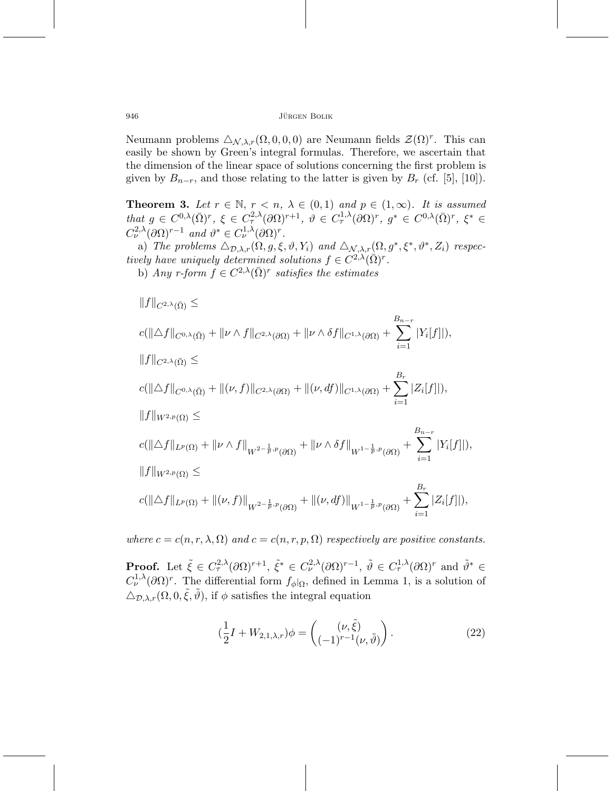Neumann problems  $\Delta_{\mathcal{N},\lambda,r}(\Omega,0,0,0)$  are Neumann fields  $\mathcal{Z}(\Omega)^r$ . This can easily be shown by Green's integral formulas. Therefore, we ascertain that the dimension of the linear space of solutions concerning the first problem is given by  $B_{n-r}$ , and those relating to the latter is given by  $B_r$  (cf. [5], [10]).

**Theorem 3.** Let  $r \in \mathbb{N}$ ,  $r < n$ ,  $\lambda \in (0,1)$  and  $p \in (1,\infty)$ . It is assumed that  $g \in C^{0,\lambda}(\bar{\Omega})^r$ ,  $\xi \in C^{2,\lambda}_\tau(\partial \Omega)^{r+1}$ ,  $\vartheta \in C^{1,\lambda}_\tau(\partial \Omega)^r$ ,  $g^* \in C^{0,\lambda}(\bar{\Omega})^r$ ,  $\xi^* \in$  $C_{\nu}^{2,\lambda}(\partial\Omega)^{r-1}$  and  $\vartheta^* \in C_{\nu}^{1,\lambda}(\partial\Omega)^r$ .

a) The problems  $\Delta_{\mathcal{D},\lambda,r}(\Omega,g,\xi,\vartheta,Y_i)$  and  $\Delta_{\mathcal{N},\lambda,r}(\Omega,g^*,\xi^*,\vartheta^*,Z_i)$  respectively have uniquely determined solutions  $f \in C^{2,\lambda}(\bar{\Omega})^r$ . b) Any r-form  $f \in C^{2,\lambda}(\overline{\Omega})^r$  satisfies the estimates

$$
||f||_{C^{2,\lambda}(\bar{\Omega})} \le
$$
  
\n
$$
c(||\triangle f||_{C^{0,\lambda}(\bar{\Omega})} + ||\nu \wedge f||_{C^{2,\lambda}(\partial\Omega)} + ||\nu \wedge \delta f||_{C^{1,\lambda}(\partial\Omega)} + \sum_{i=1}^{B_{n-r}} |Y_i[f]|),
$$
  
\n
$$
||f||_{C^{2,\lambda}(\bar{\Omega})} \le
$$
  
\n
$$
c(||\triangle f||_{C^{0,\lambda}(\bar{\Omega})} + ||(\nu, f)||_{C^{2,\lambda}(\partial\Omega)} + ||(\nu, df)||_{C^{1,\lambda}(\partial\Omega)} + \sum_{i=1}^{B_r} |Z_i[f]|),
$$
  
\n
$$
||f||_{W^{2,p}(\Omega)} \le
$$
  
\n
$$
c(||\triangle f||_{L^p(\Omega)} + ||\nu \wedge f||_{W^{2-\frac{1}{p},p}(\partial\Omega)} + ||\nu \wedge \delta f||_{W^{1-\frac{1}{p},p}(\partial\Omega)} + \sum_{i=1}^{B_{n-r}} |Y_i[f]|),
$$
  
\n
$$
||f||_{W^{2,p}(\Omega)} \le
$$
  
\n
$$
c(||\triangle f||_{L^p(\Omega)} + ||(\nu, f)||_{W^{2-\frac{1}{p},p}(\partial\Omega)} + ||(\nu, df)||_{W^{1-\frac{1}{p},p}(\partial\Omega)} + \sum_{i=1}^{B_r} |Z_i[f]|),
$$

where  $c = c(n, r, \lambda, \Omega)$  and  $c = c(n, r, p, \Omega)$  respectively are positive constants.

**Proof.** Let  $\tilde{\xi} \in C^{2,\lambda}_{\tau}(\partial \Omega)^{r+1}, \ \tilde{\xi}^* \in C^{2,\lambda}_{\nu}(\partial \Omega)^{r-1}, \ \tilde{\vartheta} \in C^{1,\lambda}_{\tau}(\partial \Omega)^{r}$  and  $\tilde{\vartheta}^* \in C^{1,\lambda}_{\tau}(\partial \Omega)^{r}$  $C^{1,\lambda}_{\nu}(\partial\Omega)^r$ . The differential form  $f_{\phi}|_{\Omega}$ , defined in Lemma 1, is a solution of  $\Delta_{\mathcal{D},\lambda,r}(\Omega,0,\tilde{\xi},\tilde{\vartheta}),$  if  $\phi$  satisfies the integral equation

$$
(\frac{1}{2}I + W_{2,1,\lambda,r})\phi = \begin{pmatrix} (\nu, \tilde{\xi}) \\ (-1)^{r-1} (\nu, \tilde{\vartheta}) \end{pmatrix}.
$$
 (22)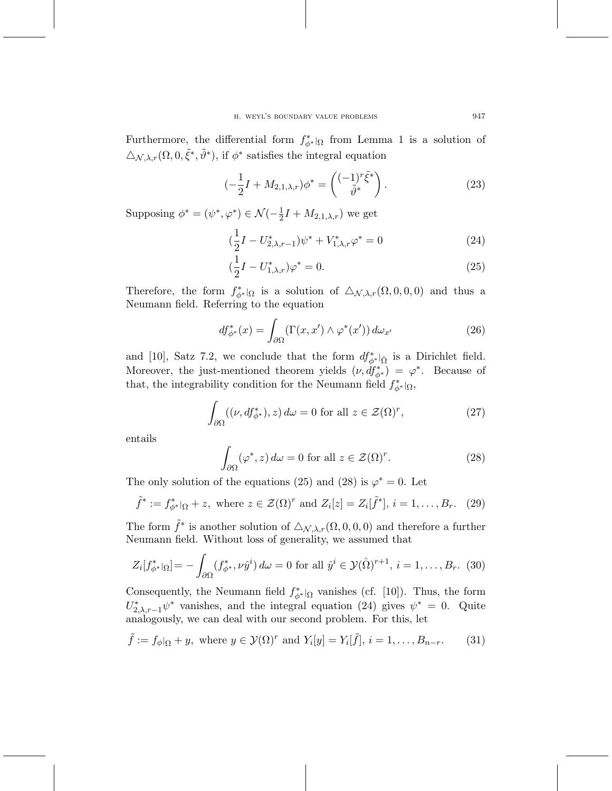Furthermore, the differential form  $f_{\phi^*}^{\ast}$  from Lemma 1 is a solution of  $\Delta_{\mathcal{N},\lambda,r}(\Omega,0,\tilde{\xi}^*,\tilde{\vartheta}^*)$ , if  $\phi^*$  satisfies the integral equation

$$
\left(-\frac{1}{2}I + M_{2,1,\lambda,r}\right)\phi^* = \left(\begin{matrix} (-1)^r \tilde{\xi}^* \\ \tilde{\vartheta}^* \end{matrix}\right). \tag{23}
$$

Supposing  $\phi^* = (\psi^*, \varphi^*) \in \mathcal{N}(-\frac{1}{2}I + M_{2,1,\lambda,r})$  we get

$$
(\frac{1}{2}I - U_{2,\lambda,r-1}^*)\psi^* + V_{1,\lambda,r}^*\varphi^* = 0
$$
\n(24)

$$
(\frac{1}{2}I - U_{1,\lambda,r}^*)\varphi^* = 0.
$$
\n(25)

Therefore, the form  $f_{\phi^*}^*|_{\Omega}$  is a solution of  $\Delta_{\mathcal{N},\lambda,r}(\Omega,0,0,0)$  and thus a Neumann field. Referring to the equation

$$
df_{\phi^*}^*(x) = \int_{\partial\Omega} (\Gamma(x, x') \wedge \varphi^*(x')) \, d\omega_{x'}
$$
 (26)

and [10], Satz 7.2, we conclude that the form  $df^*_{\phi^*}|_{\hat{\Omega}}$  is a Dirichlet field. Moreover, the just-mentioned theorem yields  $(\nu, df^*_{\phi^*}) = \varphi^*$ . Because of that, the integrability condition for the Neumann field  $f^*_{\phi^*}|_{\Omega}$ ,

$$
\int_{\partial\Omega} ((\nu, df_{\phi^*}^*), z) d\omega = 0 \text{ for all } z \in \mathcal{Z}(\Omega)^r,
$$
\n(27)

entails

$$
\int_{\partial\Omega} (\varphi^*, z) \, d\omega = 0 \text{ for all } z \in \mathcal{Z}(\Omega)^r. \tag{28}
$$

The only solution of the equations (25) and (28) is  $\varphi^* = 0$ . Let

$$
\tilde{f}^* := f_{\phi^*}^*|_{\Omega} + z, \text{ where } z \in \mathcal{Z}(\Omega)^r \text{ and } Z_i[z] = Z_i[\tilde{f}^*], i = 1, \dots, B_r. \tag{29}
$$

The form  $\tilde{f}^*$  is another solution of  $\Delta_{\mathcal{N},\lambda,r}(\Omega,0,0,0)$  and therefore a further Neumann field. Without loss of generality, we assumed that

$$
Z_i[f_{\phi^*}^*|_{\Omega}] = -\int_{\partial\Omega} (f_{\phi^*}^*, \nu \hat{y}^i) d\omega = 0 \text{ for all } \hat{y}^i \in \mathcal{Y}(\hat{\Omega})^{r+1}, i = 1, \dots, B_r. (30)
$$

Consequently, the Neumann field  $f_{\phi^*|_{\Omega}}^*$  vanishes (cf. [10]). Thus, the form  $U^*_{2,\lambda,r-1}\psi^*$  vanishes, and the integral equation (24) gives  $\psi^* = 0$ . Quite analogously, we can deal with our second problem. For this, let

$$
\tilde{f} := f_{\phi}|_{\Omega} + y, \text{ where } y \in \mathcal{Y}(\Omega)^r \text{ and } Y_i[y] = Y_i[\tilde{f}], i = 1, \dots, B_{n-r}.
$$
 (31)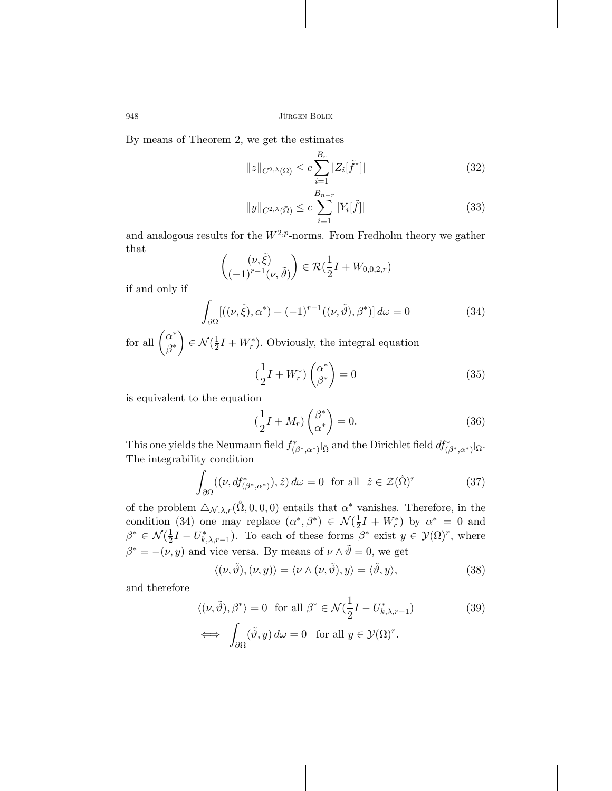By means of Theorem 2, we get the estimates

$$
||z||_{C^{2,\lambda}(\bar{\Omega})} \leq c \sum_{i=1}^{B_r} |Z_i[\tilde{f}^*]|
$$
\n(32)

$$
||y||_{C^{2,\lambda}(\bar{\Omega})} \leq c \sum_{i=1}^{B_{n-r}} |Y_i[\tilde{f}]|
$$
 (33)

and analogous results for the  $W^{2,p}$ -norms. From Fredholm theory we gather that

$$
\begin{pmatrix} (\nu, \tilde{\xi}) \\ (-1)^{r-1} (\nu, \tilde{\vartheta}) \end{pmatrix} \in \mathcal{R}(\frac{1}{2}I + W_{0,0,2,r})
$$

if and only if

$$
\int_{\partial\Omega} [((\nu,\tilde{\xi}),\alpha^*) + (-1)^{r-1}((\nu,\tilde{\vartheta}),\beta^*)] d\omega = 0 \tag{34}
$$

for all  $\begin{pmatrix} \alpha^* \\ \alpha^* \end{pmatrix}$ β*∗*  $\left( \begin{array}{c} \frac{1}{2}I + W_r^* \end{array} \right)$ . Obviously, the integral equation

$$
\left(\frac{1}{2}I + W_r^*\right)\begin{pmatrix} \alpha^* \\ \beta^* \end{pmatrix} = 0\tag{35}
$$

is equivalent to the equation

$$
\left(\frac{1}{2}I + M_r\right)\binom{\beta^*}{\alpha^*} = 0.
$$
\n(36)

This one yields the Neumann field  $f^*_{(\beta^*,\alpha^*)}|_{\hat{\Omega}}$  and the Dirichlet field  $df^*_{(\beta^*,\alpha^*)|\Omega}$ . The integrability condition

$$
\int_{\partial\Omega} ((\nu, df^*_{(\beta^*, \alpha^*)}), \hat{z}) d\omega = 0 \text{ for all } \hat{z} \in \mathcal{Z}(\hat{\Omega})^r \tag{37}
$$

of the problem  $\Delta_{\mathcal{N},\lambda,r}(\hat{\Omega},0,0,0)$  entails that  $\alpha^*$  vanishes. Therefore, in the condition (34) one may replace  $(\alpha^*, \beta^*) \in \mathcal{N}(\frac{1}{2}I + W_r^*)$  by  $\alpha^* = 0$  and  $\beta^* \in \mathcal{N}(\frac{1}{2}I - U^*_{k,\lambda,r-1})$ . To each of these forms  $\beta^*$  exist  $y \in \mathcal{Y}(\Omega)^r$ , where  $\beta^* = -(\nu, y)$  and vice versa. By means of  $\nu \wedge \tilde{\vartheta} = 0$ , we get

$$
\langle (\nu, \tilde{\vartheta}), (\nu, y) \rangle = \langle \nu \wedge (\nu, \tilde{\vartheta}), y \rangle = \langle \tilde{\vartheta}, y \rangle, \tag{38}
$$

and therefore

$$
\langle(\nu,\tilde{\vartheta}),\beta^*\rangle = 0 \text{ for all } \beta^* \in \mathcal{N}(\frac{1}{2}I - U^*_{k,\lambda,r-1})
$$
\n
$$
\iff \int_{\partial\Omega} (\tilde{\vartheta},y) \, d\omega = 0 \text{ for all } y \in \mathcal{Y}(\Omega)^r.
$$
\n(39)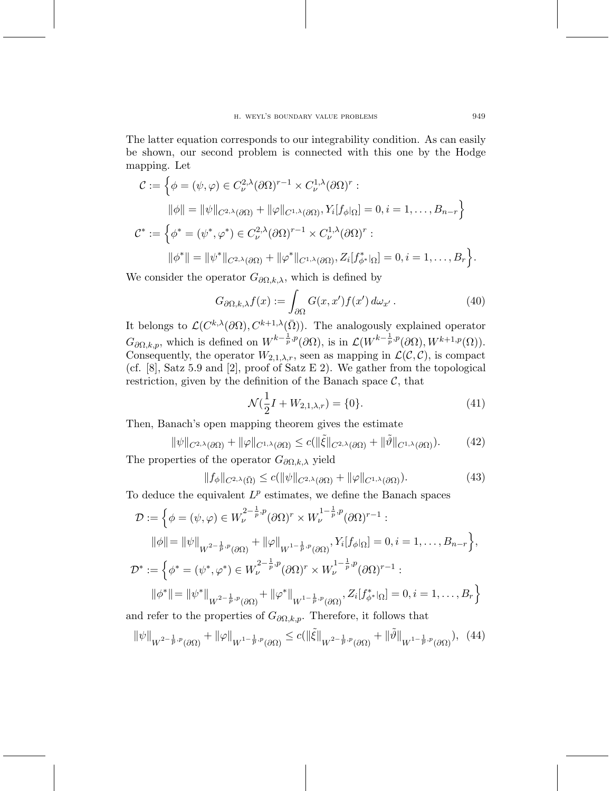The latter equation corresponds to our integrability condition. As can easily be shown, our second problem is connected with this one by the Hodge mapping. Let

$$
\mathcal{C} := \left\{ \phi = (\psi, \varphi) \in C_{\nu}^{2,\lambda}(\partial \Omega)^{r-1} \times C_{\nu}^{1,\lambda}(\partial \Omega)^{r} : \|\phi\| = \|\psi\|_{C^{2,\lambda}(\partial \Omega)} + \|\varphi\|_{C^{1,\lambda}(\partial \Omega)}, Y_i[f_{\phi} | \Omega] = 0, i = 1, ..., B_{n-r} \right\}
$$
\n
$$
\mathcal{C}^* := \left\{ \phi^* = (\psi^*, \varphi^*) \in C_{\nu}^{2,\lambda}(\partial \Omega)^{r-1} \times C_{\nu}^{1,\lambda}(\partial \Omega)^{r} : \|\phi^*\| = \|\psi^*\|_{C^{2,\lambda}(\partial \Omega)} + \|\varphi^*\|_{C^{1,\lambda}(\partial \Omega)}, Z_i[f_{\phi^*}^*| \Omega] = 0, i = 1, ..., B_r \right\}.
$$

We consider the operator  $G_{\partial\Omega,k,\lambda}$ , which is defined by

$$
G_{\partial\Omega,k,\lambda}f(x) := \int_{\partial\Omega} G(x,x')f(x')\,d\omega_{x'}\,. \tag{40}
$$

It belongs to  $\mathcal{L}(C^{k,\lambda}(\partial\Omega), C^{k+1,\lambda}(\bar{\Omega}))$ . The analogously explained operator  $G_{\partial\Omega,k,p}$ , which is defined on  $W^{k-\frac{1}{p},p}(\partial\Omega)$ , is in  $\mathcal{L}(W^{k-\frac{1}{p},p}(\partial\Omega), W^{k+1,p}(\Omega))$ . Consequently, the operator  $W_{2,1,\lambda,r}$ , seen as mapping in  $\mathcal{L}(\mathcal{C}, \mathcal{C})$ , is compact (cf. [8], Satz 5.9 and [2], proof of Satz E 2). We gather from the topological restriction, given by the definition of the Banach space  $C$ , that

$$
\mathcal{N}(\frac{1}{2}I + W_{2,1,\lambda,r}) = \{0\}.\tag{41}
$$

Then, Banach's open mapping theorem gives the estimate

$$
\|\psi\|_{C^{2,\lambda}(\partial\Omega)} + \|\varphi\|_{C^{1,\lambda}(\partial\Omega)} \le c(\|\tilde{\xi}\|_{C^{2,\lambda}(\partial\Omega)} + \|\tilde{\vartheta}\|_{C^{1,\lambda}(\partial\Omega)}).
$$
 (42)

The properties of the operator  $G_{\partial\Omega,k,\lambda}$  yield

$$
||f_{\phi}||_{C^{2,\lambda}(\bar{\Omega})} \le c(||\psi||_{C^{2,\lambda}(\partial\Omega)} + ||\varphi||_{C^{1,\lambda}(\partial\Omega)}).
$$
\n(43)

To deduce the equivalent  $L^p$  estimates, we define the Banach spaces

$$
\mathcal{D} := \left\{ \phi = (\psi, \varphi) \in W_{\nu}^{2-\frac{1}{p}, p}(\partial \Omega)^r \times W_{\nu}^{1-\frac{1}{p}, p}(\partial \Omega)^{r-1} : \right\}
$$
  
\n
$$
\|\phi\| = \|\psi\|_{W^{2-\frac{1}{p}, p}(\partial \Omega)} + \|\varphi\|_{W^{1-\frac{1}{p}, p}(\partial \Omega)}, Y_i[f_{\phi|\Omega}] = 0, i = 1, \dots, B_{n-r} \right\},
$$
  
\n
$$
\mathcal{D}^* := \left\{ \phi^* = (\psi^*, \varphi^*) \in W_{\nu}^{2-\frac{1}{p}, p}(\partial \Omega)^r \times W_{\nu}^{1-\frac{1}{p}, p}(\partial \Omega)^{r-1} : \right\}
$$
  
\n
$$
\|\phi^*\| = \|\psi^*\|_{W^{2-\frac{1}{p}, p}(\partial \Omega)} + \|\varphi^*\|_{W^{1-\frac{1}{p}, p}(\partial \Omega)}, Z_i[f_{\phi^*}^*|_{\Omega}] = 0, i = 1, \dots, B_r \right\}
$$

and refer to the properties of  $G_{\partial\Omega,k,p}$ . Therefore, it follows that

$$
\|\psi\|_{W^{2-\frac{1}{p},p}(\partial\Omega)} + \|\varphi\|_{W^{1-\frac{1}{p},p}(\partial\Omega)} \le c(\|\tilde{\xi}\|_{W^{2-\frac{1}{p},p}(\partial\Omega)} + \|\tilde{\vartheta}\|_{W^{1-\frac{1}{p},p}(\partial\Omega)}), \tag{44}
$$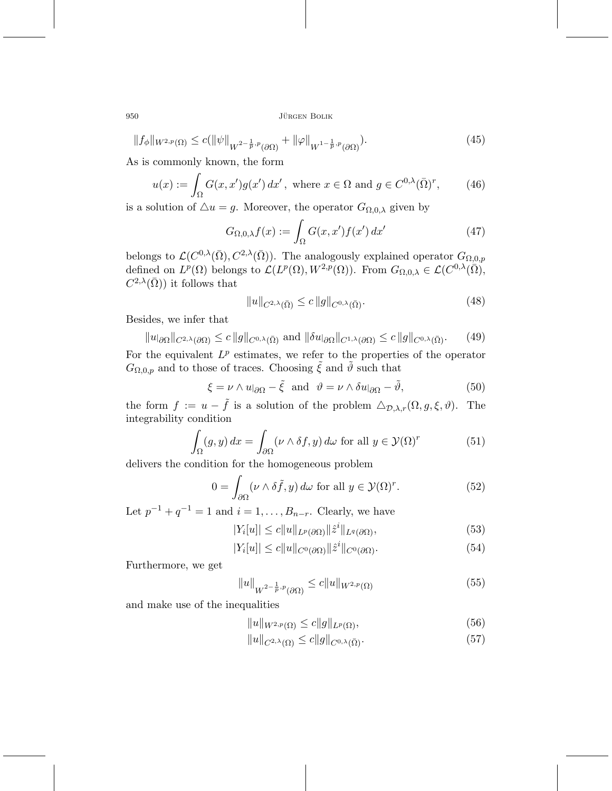$$
||f_{\phi}||_{W^{2,p}(\Omega)} \le c(||\psi||_{W^{2-\frac{1}{p},p}(\partial\Omega)} + ||\varphi||_{W^{1-\frac{1}{p},p}(\partial\Omega)}).
$$
\n(45)

As is commonly known, the form

$$
u(x) := \int_{\Omega} G(x, x') g(x') dx', \text{ where } x \in \Omega \text{ and } g \in C^{0,\lambda}(\overline{\Omega})^r,
$$
 (46)

is a solution of  $\Delta u = g$ . Moreover, the operator  $G_{\Omega,0,\lambda}$  given by

$$
G_{\Omega,0,\lambda}f(x) := \int_{\Omega} G(x,x')f(x') dx' \tag{47}
$$

belongs to  $\mathcal{L}(C^{0,\lambda}(\bar{\Omega}), C^{2,\lambda}(\bar{\Omega}))$ . The analogously explained operator  $G_{\Omega,0,p}$ defined on  $L^p(\Omega)$  belongs to  $\mathcal{L}(L^p(\Omega), W^{2,p}(\Omega))$ . From  $G_{\Omega,0,\lambda} \in \mathcal{L}(C^{0,\lambda}(\overline{\Omega}),$  $C^{2,\lambda}(\bar{\Omega})$  it follows that

$$
||u||_{C^{2,\lambda}(\bar{\Omega})} \le c ||g||_{C^{0,\lambda}(\bar{\Omega})}.
$$
\n(48)

Besides, we infer that

$$
||u|_{\partial\Omega}||_{C^{2,\lambda}(\partial\Omega)} \leq c||g||_{C^{0,\lambda}(\bar{\Omega})} \text{ and } ||\delta u|_{\partial\Omega}||_{C^{1,\lambda}(\partial\Omega)} \leq c||g||_{C^{0,\lambda}(\bar{\Omega})}. \tag{49}
$$

For the equivalent  $L^p$  estimates, we refer to the properties of the operator  $G_{\Omega,0,p}$  and to those of traces. Choosing  $\tilde{\xi}$  and  $\tilde{\vartheta}$  such that

$$
\xi = \nu \wedge u|_{\partial \Omega} - \tilde{\xi} \quad \text{and} \quad \vartheta = \nu \wedge \delta u|_{\partial \Omega} - \tilde{\vartheta}, \tag{50}
$$

the form  $f := u - \tilde{f}$  is a solution of the problem  $\Delta_{\mathcal{D},\lambda,r}(\Omega,g,\xi,\vartheta)$ . The integrability condition

$$
\int_{\Omega} (g, y) dx = \int_{\partial \Omega} (\nu \wedge \delta f, y) d\omega \text{ for all } y \in \mathcal{Y}(\Omega)^r \tag{51}
$$

delivers the condition for the homogeneous problem

$$
0 = \int_{\partial\Omega} (\nu \wedge \delta \tilde{f}, y) \, d\omega \text{ for all } y \in \mathcal{Y}(\Omega)^r. \tag{52}
$$

Let  $p^{-1} + q^{-1} = 1$  and  $i = 1, ..., B_{n-r}$ . Clearly, we have

$$
|Y_i[u]| \le c \|u\|_{L^p(\partial\Omega)} \|\hat{z}^i\|_{L^q(\partial\Omega)},\tag{53}
$$

$$
|Y_i[u]| \le c||u||_{C^0(\partial\Omega)} ||\hat{z}^i||_{C^0(\partial\Omega)}.
$$
\n(54)

Furthermore, we get

$$
||u||_{W^{2-\frac{1}{p},p}(\partial\Omega)} \le c||u||_{W^{2,p}(\Omega)}
$$
\n(55)

and make use of the inequalities

$$
||u||_{W^{2,p}(\Omega)} \le c||g||_{L^p(\Omega)},\tag{56}
$$

$$
||u||_{C^{2,\lambda}(\Omega)} \le c||g||_{C^{0,\lambda}(\bar{\Omega})}.
$$
\n
$$
(57)
$$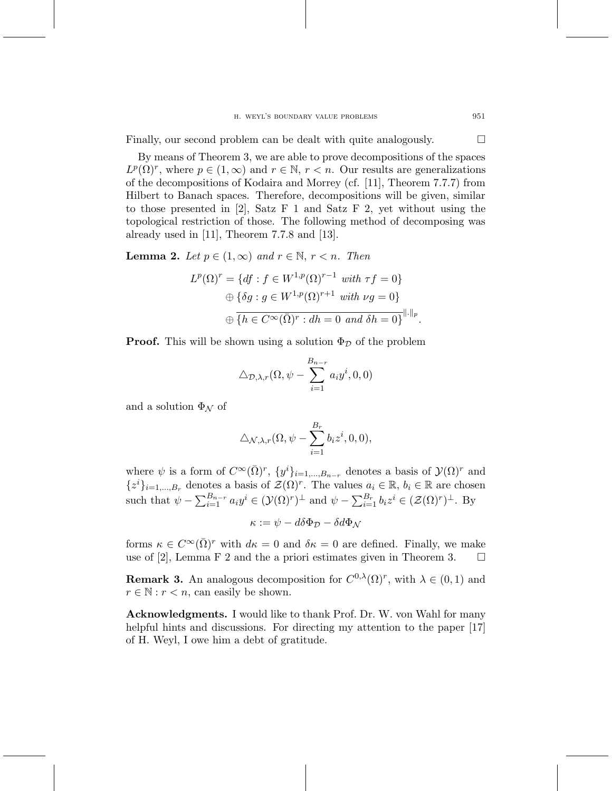Finally, our second problem can be dealt with quite analogously.  $\Box$ 

By means of Theorem 3, we are able to prove decompositions of the spaces  $L^p(\Omega)^r$ , where  $p \in (1,\infty)$  and  $r \in \mathbb{N}$ ,  $r < n$ . Our results are generalizations of the decompositions of Kodaira and Morrey (cf. [11], Theorem 7.7.7) from Hilbert to Banach spaces. Therefore, decompositions will be given, similar to those presented in [2], Satz F 1 and Satz F 2, yet without using the topological restriction of those. The following method of decomposing was already used in [11], Theorem 7.7.8 and [13].

**Lemma 2.** Let  $p \in (1, \infty)$  and  $r \in \mathbb{N}$ ,  $r < n$ . Then

$$
L^p(\Omega)^r = \{ df : f \in W^{1,p}(\Omega)^{r-1} \text{ with } \tau f = 0 \}
$$
  

$$
\oplus \{ \delta g : g \in W^{1,p}(\Omega)^{r+1} \text{ with } \nu g = 0 \}
$$
  

$$
\oplus \{ h \in C^\infty(\overline{\Omega})^r : dh = 0 \text{ and } \delta h = 0 \}^{\|.\|_p}.
$$

**Proof.** This will be shown using a solution  $\Phi_{\mathcal{D}}$  of the problem

$$
\triangle_{\mathcal{D},\lambda,r}(\Omega,\psi-\sum_{i=1}^{B_{n-r}}a_iy^i,0,0)
$$

and a solution  $\Phi_{\mathcal{N}}$  of

$$
\triangle_{\mathcal{N},\lambda,r}(\Omega,\psi-\sum_{i=1}^{B_r}b_iz^i,0,0),
$$

where  $\psi$  is a form of  $C^{\infty}(\bar{\Omega})^r$ ,  $\{y^i\}_{i=1,\dots,B_{n-r}}$  denotes a basis of  $\mathcal{Y}(\Omega)^r$  and  ${z<sup>i</sup>}_{i=1,\dots,B_r}$  denotes a basis of  $\mathcal{Z}(\Omega)^r$ . The values  $a_i \in \mathbb{R}$ ,  $b_i \in \mathbb{R}$  are chosen such that  $\psi - \sum_{i=1}^{B_{n-r}} a_i y^i \in (\mathcal{Y}(\Omega)^r)^{\perp}$  and  $\psi - \sum_{i=1}^{B_r} b_i z^i \in (\mathcal{Z}(\Omega)^r)^{\perp}$ . By

$$
\kappa:=\psi-d\delta\Phi_{\mathcal{D}}-\delta d\Phi_{\mathcal{N}}
$$

forms  $\kappa \in C^{\infty}(\overline{\Omega})^r$  with  $d\kappa = 0$  and  $\delta \kappa = 0$  are defined. Finally, we make use of [2], Lemma F 2 and the a priori estimates given in Theorem 3.  $\Box$ 

**Remark 3.** An analogous decomposition for  $C^{0,\lambda}(\Omega)^r$ , with  $\lambda \in (0,1)$  and  $r \in \mathbb{N}: r < n$ , can easily be shown.

**Acknowledgments.** I would like to thank Prof. Dr. W. von Wahl for many helpful hints and discussions. For directing my attention to the paper [17] of H. Weyl, I owe him a debt of gratitude.